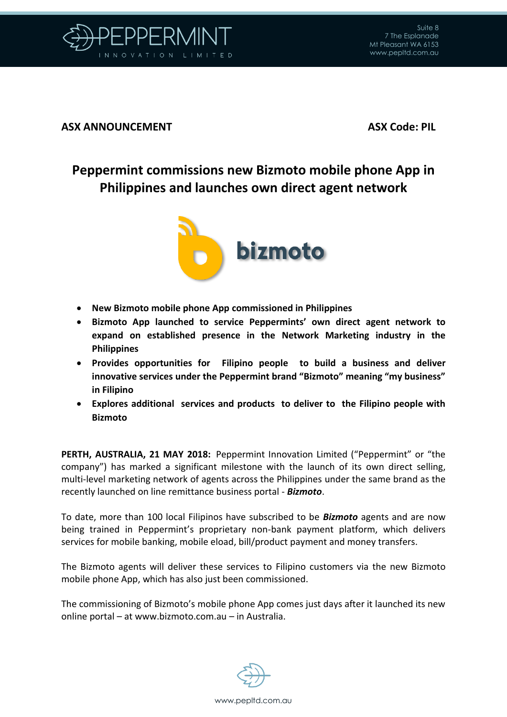

## **ASX ANNOUNCEMENT ASX Code: PIL**

## **Peppermint commissions new Bizmoto mobile phone App in Philippines and launches own direct agent network**



- **New Bizmoto mobile phone App commissioned in Philippines**
- **Bizmoto App launched to service Peppermints' own direct agent network to expand on established presence in the Network Marketing industry in the Philippines**
- **Provides opportunities for Filipino people to build a business and deliver innovative services under the Peppermint brand "Bizmoto" meaning "my business" in Filipino**
- **Explores additional services and products to deliver to the Filipino people with Bizmoto**

**PERTH, AUSTRALIA, 21 MAY 2018:** Peppermint Innovation Limited ("Peppermint" or "the company") has marked a significant milestone with the launch of its own direct selling, multi-level marketing network of agents across the Philippines under the same brand as the recently launched on line remittance business portal - *Bizmoto*.

To date, more than 100 local Filipinos have subscribed to be *Bizmoto* agents and are now being trained in Peppermint's proprietary non-bank payment platform, which delivers services for mobile banking, mobile eload, bill/product payment and money transfers.

The Bizmoto agents will deliver these services to Filipino customers via the new Bizmoto mobile phone App, which has also just been commissioned.

The commissioning of Bizmoto's mobile phone App comes just days after it launched its new online portal – at [www.bizmoto.com.au](http://www.bizmoto.com.au/) – in Australia.

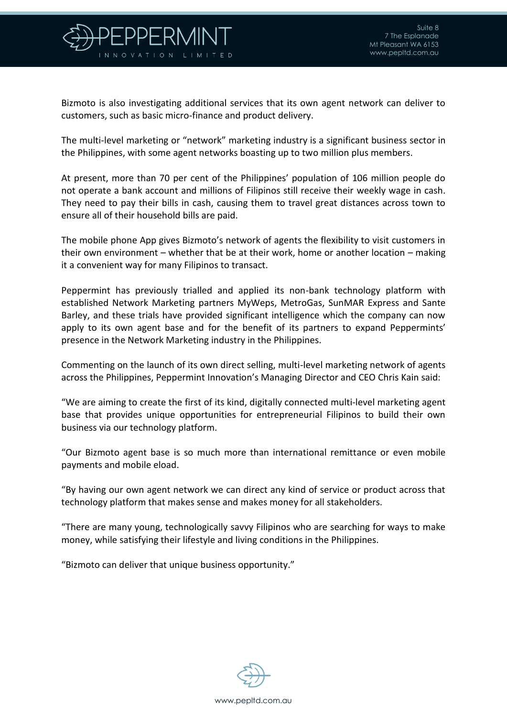

Bizmoto is also investigating additional services that its own agent network can deliver to customers, such as basic micro-finance and product delivery.

The multi-level marketing or "network" marketing industry is a significant business sector in the Philippines, with some agent networks boasting up to two million plus members.

At present, more than 70 per cent of the Philippines' population of 106 million people do not operate a bank account and millions of Filipinos still receive their weekly wage in cash. They need to pay their bills in cash, causing them to travel great distances across town to ensure all of their household bills are paid.

The mobile phone App gives Bizmoto's network of agents the flexibility to visit customers in their own environment – whether that be at their work, home or another location – making it a convenient way for many Filipinos to transact.

Peppermint has previously trialled and applied its non-bank technology platform with established Network Marketing partners MyWeps, MetroGas, SunMAR Express and Sante Barley, and these trials have provided significant intelligence which the company can now apply to its own agent base and for the benefit of its partners to expand Peppermints' presence in the Network Marketing industry in the Philippines.

Commenting on the launch of its own direct selling, multi-level marketing network of agents across the Philippines, Peppermint Innovation's Managing Director and CEO Chris Kain said:

"We are aiming to create the first of its kind, digitally connected multi-level marketing agent base that provides unique opportunities for entrepreneurial Filipinos to build their own business via our technology platform.

"Our Bizmoto agent base is so much more than international remittance or even mobile payments and mobile eload.

"By having our own agent network we can direct any kind of service or product across that technology platform that makes sense and makes money for all stakeholders.

"There are many young, technologically savvy Filipinos who are searching for ways to make money, while satisfying their lifestyle and living conditions in the Philippines.

"Bizmoto can deliver that unique business opportunity."